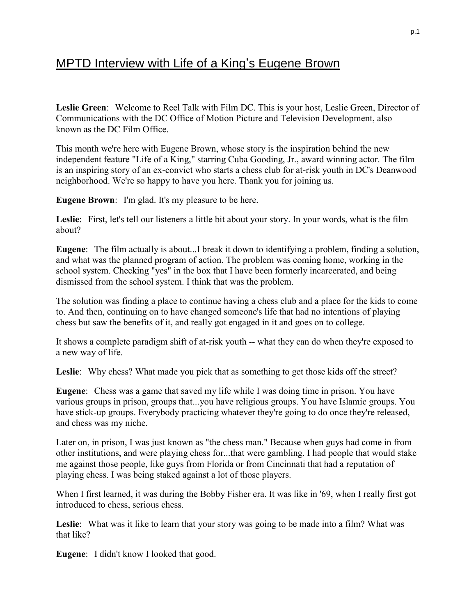## MPTD Interview with Life of a King's Eugene Brown

**Leslie Green**: Welcome to Reel Talk with Film DC. This is your host, Leslie Green, Director of Communications with the DC Office of Motion Picture and Television Development, also known as the DC Film Office.

This month we're here with Eugene Brown, whose story is the inspiration behind the new independent feature "Life of a King," starring Cuba Gooding, Jr., award winning actor. The film is an inspiring story of an ex-convict who starts a chess club for at-risk youth in DC's Deanwood neighborhood. We're so happy to have you here. Thank you for joining us.

**Eugene Brown**: I'm glad. It's my pleasure to be here.

**Leslie**: First, let's tell our listeners a little bit about your story. In your words, what is the film about?

**Eugene**: The film actually is about...I break it down to identifying a problem, finding a solution, and what was the planned program of action. The problem was coming home, working in the school system. Checking "yes" in the box that I have been formerly incarcerated, and being dismissed from the school system. I think that was the problem.

The solution was finding a place to continue having a chess club and a place for the kids to come to. And then, continuing on to have changed someone's life that had no intentions of playing chess but saw the benefits of it, and really got engaged in it and goes on to college.

It shows a complete paradigm shift of at-risk youth -- what they can do when they're exposed to a new way of life.

Leslie: Why chess? What made you pick that as something to get those kids off the street?

**Eugene**: Chess was a game that saved my life while I was doing time in prison. You have various groups in prison, groups that...you have religious groups. You have Islamic groups. You have stick-up groups. Everybody practicing whatever they're going to do once they're released, and chess was my niche.

Later on, in prison, I was just known as "the chess man." Because when guys had come in from other institutions, and were playing chess for...that were gambling. I had people that would stake me against those people, like guys from Florida or from Cincinnati that had a reputation of playing chess. I was being staked against a lot of those players.

When I first learned, it was during the Bobby Fisher era. It was like in '69, when I really first got introduced to chess, serious chess.

**Leslie**: What was it like to learn that your story was going to be made into a film? What was that like?

**Eugene**: I didn't know I looked that good.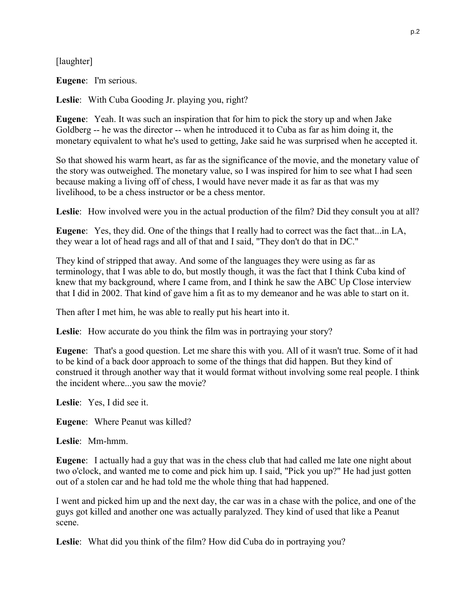[laughter]

**Eugene**: I'm serious.

**Leslie**: With Cuba Gooding Jr. playing you, right?

**Eugene**: Yeah. It was such an inspiration that for him to pick the story up and when Jake Goldberg -- he was the director -- when he introduced it to Cuba as far as him doing it, the monetary equivalent to what he's used to getting, Jake said he was surprised when he accepted it.

So that showed his warm heart, as far as the significance of the movie, and the monetary value of the story was outweighed. The monetary value, so I was inspired for him to see what I had seen because making a living off of chess, I would have never made it as far as that was my livelihood, to be a chess instructor or be a chess mentor.

**Leslie**: How involved were you in the actual production of the film? Did they consult you at all?

**Eugene**: Yes, they did. One of the things that I really had to correct was the fact that...in LA, they wear a lot of head rags and all of that and I said, "They don't do that in DC."

They kind of stripped that away. And some of the languages they were using as far as terminology, that I was able to do, but mostly though, it was the fact that I think Cuba kind of knew that my background, where I came from, and I think he saw the ABC Up Close interview that I did in 2002. That kind of gave him a fit as to my demeanor and he was able to start on it.

Then after I met him, he was able to really put his heart into it.

Leslie: How accurate do you think the film was in portraying your story?

**Eugene**: That's a good question. Let me share this with you. All of it wasn't true. Some of it had to be kind of a back door approach to some of the things that did happen. But they kind of construed it through another way that it would format without involving some real people. I think the incident where...you saw the movie?

**Leslie**: Yes, I did see it.

**Eugene**: Where Peanut was killed?

**Leslie**: Mm-hmm.

**Eugene**: I actually had a guy that was in the chess club that had called me late one night about two o'clock, and wanted me to come and pick him up. I said, "Pick you up?" He had just gotten out of a stolen car and he had told me the whole thing that had happened.

I went and picked him up and the next day, the car was in a chase with the police, and one of the guys got killed and another one was actually paralyzed. They kind of used that like a Peanut scene.

**Leslie**: What did you think of the film? How did Cuba do in portraying you?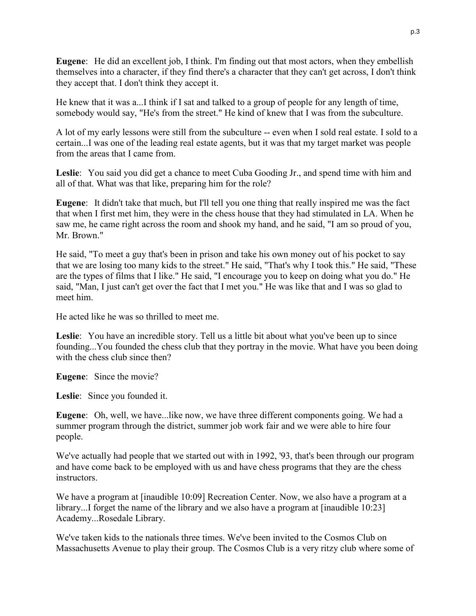**Eugene**: He did an excellent job, I think. I'm finding out that most actors, when they embellish themselves into a character, if they find there's a character that they can't get across, I don't think they accept that. I don't think they accept it.

He knew that it was a...I think if I sat and talked to a group of people for any length of time, somebody would say, "He's from the street." He kind of knew that I was from the subculture.

A lot of my early lessons were still from the subculture -- even when I sold real estate. I sold to a certain...I was one of the leading real estate agents, but it was that my target market was people from the areas that I came from.

**Leslie**: You said you did get a chance to meet Cuba Gooding Jr., and spend time with him and all of that. What was that like, preparing him for the role?

**Eugene**: It didn't take that much, but I'll tell you one thing that really inspired me was the fact that when I first met him, they were in the chess house that they had stimulated in LA. When he saw me, he came right across the room and shook my hand, and he said, "I am so proud of you, Mr. Brown."

He said, "To meet a guy that's been in prison and take his own money out of his pocket to say that we are losing too many kids to the street." He said, "That's why I took this." He said, "These are the types of films that I like." He said, "I encourage you to keep on doing what you do." He said, "Man, I just can't get over the fact that I met you." He was like that and I was so glad to meet him.

He acted like he was so thrilled to meet me.

**Leslie**: You have an incredible story. Tell us a little bit about what you've been up to since founding...You founded the chess club that they portray in the movie. What have you been doing with the chess club since then?

**Eugene**: Since the movie?

**Leslie**: Since you founded it.

**Eugene**: Oh, well, we have...like now, we have three different components going. We had a summer program through the district, summer job work fair and we were able to hire four people.

We've actually had people that we started out with in 1992, '93, that's been through our program and have come back to be employed with us and have chess programs that they are the chess instructors.

We have a program at [inaudible 10:09] Recreation Center. Now, we also have a program at a library...I forget the name of the library and we also have a program at [inaudible 10:23] Academy...Rosedale Library.

We've taken kids to the nationals three times. We've been invited to the Cosmos Club on Massachusetts Avenue to play their group. The Cosmos Club is a very ritzy club where some of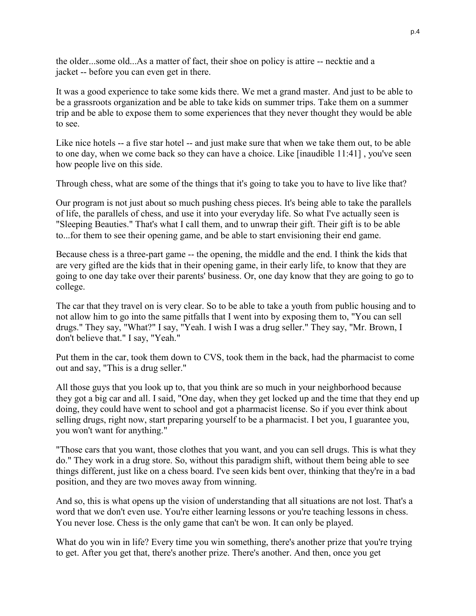the older...some old...As a matter of fact, their shoe on policy is attire -- necktie and a jacket -- before you can even get in there.

It was a good experience to take some kids there. We met a grand master. And just to be able to be a grassroots organization and be able to take kids on summer trips. Take them on a summer trip and be able to expose them to some experiences that they never thought they would be able to see.

Like nice hotels -- a five star hotel -- and just make sure that when we take them out, to be able to one day, when we come back so they can have a choice. Like [inaudible 11:41] , you've seen how people live on this side.

Through chess, what are some of the things that it's going to take you to have to live like that?

Our program is not just about so much pushing chess pieces. It's being able to take the parallels of life, the parallels of chess, and use it into your everyday life. So what I've actually seen is "Sleeping Beauties." That's what I call them, and to unwrap their gift. Their gift is to be able to...for them to see their opening game, and be able to start envisioning their end game.

Because chess is a three-part game -- the opening, the middle and the end. I think the kids that are very gifted are the kids that in their opening game, in their early life, to know that they are going to one day take over their parents' business. Or, one day know that they are going to go to college.

The car that they travel on is very clear. So to be able to take a youth from public housing and to not allow him to go into the same pitfalls that I went into by exposing them to, "You can sell drugs." They say, "What?" I say, "Yeah. I wish I was a drug seller." They say, "Mr. Brown, I don't believe that." I say, "Yeah."

Put them in the car, took them down to CVS, took them in the back, had the pharmacist to come out and say, "This is a drug seller."

All those guys that you look up to, that you think are so much in your neighborhood because they got a big car and all. I said, "One day, when they get locked up and the time that they end up doing, they could have went to school and got a pharmacist license. So if you ever think about selling drugs, right now, start preparing yourself to be a pharmacist. I bet you, I guarantee you, you won't want for anything."

"Those cars that you want, those clothes that you want, and you can sell drugs. This is what they do." They work in a drug store. So, without this paradigm shift, without them being able to see things different, just like on a chess board. I've seen kids bent over, thinking that they're in a bad position, and they are two moves away from winning.

And so, this is what opens up the vision of understanding that all situations are not lost. That's a word that we don't even use. You're either learning lessons or you're teaching lessons in chess. You never lose. Chess is the only game that can't be won. It can only be played.

What do you win in life? Every time you win something, there's another prize that you're trying to get. After you get that, there's another prize. There's another. And then, once you get